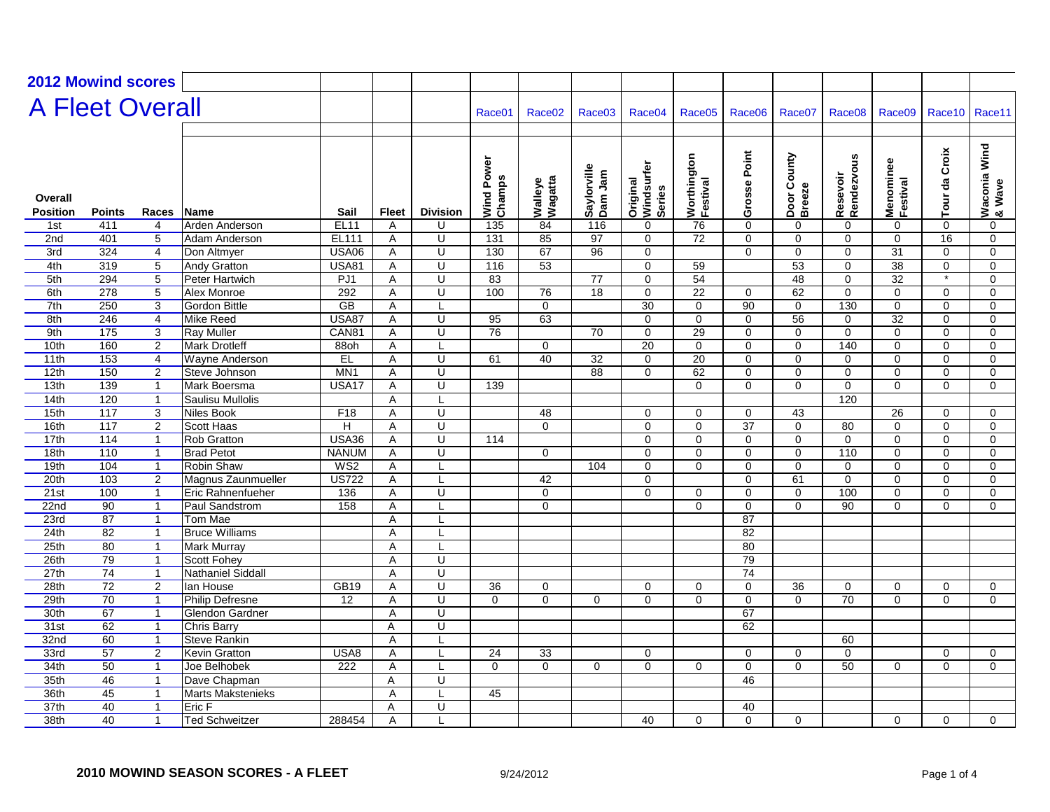| <b>2012 Mowind scores</b>  |                   |                |                          |                 |                |                         |                             |                    |                           |                                         |                         |                |                             |                        |                       |               |                        |
|----------------------------|-------------------|----------------|--------------------------|-----------------|----------------|-------------------------|-----------------------------|--------------------|---------------------------|-----------------------------------------|-------------------------|----------------|-----------------------------|------------------------|-----------------------|---------------|------------------------|
|                            |                   |                |                          |                 |                |                         |                             |                    |                           |                                         |                         |                |                             |                        |                       |               |                        |
| <b>A Fleet Overall</b>     |                   |                |                          |                 |                |                         | Race01                      | Race <sub>02</sub> | Race03                    | Race <sub>04</sub>                      | Race05                  | Race06         | Race07                      | Race08                 | Race09                | Race10        | Race11                 |
|                            |                   |                |                          |                 |                |                         |                             |                    |                           |                                         |                         |                |                             |                        |                       |               |                        |
| Overall<br><b>Position</b> | <b>Points</b>     | Races          | Name                     | Sail            | <b>Fleet</b>   | <b>Division</b>         | Power<br>Wind Pov<br>Champs | Walleye<br>Wagatta | Saylorville<br>Dam<br>Jam | Windsurfer<br>Original<br><b>Series</b> | Worthington<br>Festival | Grosse Point   | County<br>Door Co<br>Breeze | Rendezvous<br>Resevoir | Menominee<br>Festival | Tour da Croix | Waconia Wind<br>& Wave |
| 1st                        | 411               | 4              | Arden Anderson           | <b>EL11</b>     | A              | U                       | 135                         | 84                 | 116                       | 0                                       | 76                      | $\mathbf 0$    | $\mathbf 0$                 | $\mathbf 0$            | $\mathbf 0$           | $\mathbf 0$   | 0                      |
| 2nd                        | 401               | $\overline{5}$ | Adam Anderson            | EL111           | A              | U                       | 131                         | 85                 | 97                        | $\mathbf 0$                             | 72                      | $\overline{0}$ | $\overline{0}$              | $\overline{0}$         | $\mathbf 0$           | 16            | 0                      |
| 3rd                        | 324               | $\overline{4}$ | Don Altmyer              | <b>USA06</b>    | A              | $\overline{U}$          | 130                         | 67                 | $\overline{96}$           | $\Omega$                                |                         | $\overline{0}$ | $\overline{0}$              | $\overline{0}$         | $\overline{31}$       | $\Omega$      | $\Omega$               |
| 4th                        | 319               | $\overline{5}$ | <b>Andy Gratton</b>      | <b>USA81</b>    | Α              | Ū                       | 116                         | 53                 |                           | $\mathbf 0$                             | 59                      |                | 53                          | $\overline{0}$         | 38                    | 0             | $\mathbf 0$            |
| 5th                        | 294               | $\overline{5}$ | Peter Hartwich           | PJ1             | Α              | $\overline{\mathsf{U}}$ | 83                          |                    | 77                        | $\mathbf 0$                             | 54                      |                | 48                          | $\overline{0}$         | $\overline{32}$       | $\ast$        | $\mathbf 0$            |
| 6th                        | 278               | 5              | Alex Monroe              | 292             | A              | U                       | 100                         | 76                 | 18                        | 0                                       | 22                      | $\Omega$       | 62                          | $\mathbf 0$            | $\Omega$              | $\Omega$      | $\mathbf 0$            |
| 7th                        | 250               | $\overline{3}$ | <b>Gordon Bittle</b>     | GB              | $\overline{A}$ | L                       |                             | $\mathbf 0$        |                           | $\overline{30}$                         | $\mathbf 0$             | 90             | $\mathbf 0$                 | 130                    | $\mathbf 0$           | $\mathbf 0$   | $\mathbf 0$            |
| 8th                        | 246               | $\overline{4}$ | Mike Reed                | <b>USA87</b>    | Α              | U                       | 95                          | 63                 |                           | $\Omega$                                | $\Omega$                | $\Omega$       | 56                          | 0                      | 32                    | $\Omega$      | $\Omega$               |
| 9th                        | $\frac{175}{175}$ | 3              | <b>Ray Muller</b>        | CAN81           | $\overline{A}$ | $\cup$                  | 76                          |                    | 70                        | $\Omega$                                | 29                      | $\mathbf 0$    | $\Omega$                    | $\mathbf 0$            | $\Omega$              | $\Omega$      | $\mathbf 0$            |
| 10th                       | 160               | $\overline{2}$ | <b>Mark Drotleff</b>     | 88oh            | Α              | L                       |                             | $\Omega$           |                           | 20                                      | $\Omega$                | $\Omega$       | $\Omega$                    | 140                    | $\Omega$              | $\Omega$      | $\Omega$               |
| 11th                       | 153               | $\overline{4}$ | Wayne Anderson           | E               | A              | $\overline{U}$          | 61                          | 40                 | 32                        | $\Omega$                                | $\overline{20}$         | 0              | $\Omega$                    | 0                      | $\Omega$              | $\Omega$      | $\Omega$               |
| 12th                       | 150               | $\overline{2}$ | Steve Johnson            | MN <sub>1</sub> | Α              | U                       |                             |                    | 88                        | $\mathbf 0$                             | 62                      | 0              | $\mathbf 0$                 | 0                      | 0                     | 0             | 0                      |
| 13th                       | 139               | $\mathbf{1}$   | Mark Boersma             | USA17           | Α              | U                       | 139                         |                    |                           |                                         | $\mathbf 0$             | 0              | $\Omega$                    | $\mathbf 0$            | $\Omega$              | $\Omega$      | $\mathbf 0$            |
| 14th                       | 120               | $\mathbf{1}$   | <b>Saulisu Mullolis</b>  |                 | A              | L                       |                             |                    |                           |                                         |                         |                |                             | 120                    |                       |               |                        |
| 15th                       | 117               | 3              | <b>Niles Book</b>        | F18             | Α              | U                       |                             | 48                 |                           | $\mathbf 0$                             | $\mathbf 0$             | $\mathbf 0$    | 43                          |                        | 26                    | $\mathbf 0$   | $\mathbf 0$            |
| 16th                       | 117               | $\overline{2}$ | <b>Scott Haas</b>        | Η               | Α              | $\overline{\mathsf{U}}$ |                             | $\overline{0}$     |                           | $\mathbf 0$                             | $\mathbf 0$             | 37             | $\overline{0}$              | 80                     | $\mathbf 0$           | $\mathbf 0$   | $\mathbf 0$            |
| 17th                       | 114               | $\mathbf{1}$   | Rob Gratton              | <b>USA36</b>    | Α              | U                       | 114                         |                    |                           | 0                                       | 0                       | 0              | 0                           | $\mathbf 0$            | $\mathbf 0$           | $\mathbf 0$   | 0                      |
| 18th                       | 110               | $\mathbf{1}$   | <b>Brad Petot</b>        | <b>NANUM</b>    | A              | $\overline{U}$          |                             | $\Omega$           |                           | $\Omega$                                | $\Omega$                | $\mathbf 0$    | $\mathbf 0$                 | 110                    | $\Omega$              | $\Omega$      | $\Omega$               |
| 19th                       | 104               | $\mathbf{1}$   | Robin Shaw               | WS2             | Α              | L                       |                             |                    | 104                       | 0                                       | $\mathbf 0$             | 0              | 0                           | 0                      | $\mathbf 0$           | $\mathbf 0$   | 0                      |
| 20th                       | 103               | $\overline{2}$ | Magnus Zaunmueller       | <b>US722</b>    | Α              | L                       |                             | 42                 |                           | 0                                       |                         | $\overline{0}$ | 61                          | $\overline{0}$         | $\Omega$              | $\Omega$      | $\mathbf 0$            |
| 21st                       | 100               | $\mathbf{1}$   | Eric Rahnenfueher        | 136             | Α              | U                       |                             | $\mathbf 0$        |                           | 0                                       | $\mathbf 0$             | $\mathbf 0$    | $\mathbf 0$                 | 100                    | $\mathbf 0$           | $\mathbf 0$   | $\mathbf 0$            |
| 22n <sub>d</sub>           | 90                | $\mathbf{1}$   | Paul Sandstrom           | 158             | A              | L                       |                             | $\Omega$           |                           |                                         | $\Omega$                | 0              | $\Omega$                    | 90                     | $\Omega$              | $\Omega$      | 0                      |
| 23rd                       | $\overline{87}$   | $\mathbf{1}$   | Tom Mae                  |                 | A              | Ι.                      |                             |                    |                           |                                         |                         | 87             |                             |                        |                       |               |                        |
| 24th                       | $\overline{82}$   | $\mathbf{1}$   | <b>Bruce Williams</b>    |                 | Α              | L                       |                             |                    |                           |                                         |                         | 82             |                             |                        |                       |               |                        |
| 25th                       | 80                | $\mathbf{1}$   | Mark Murray              |                 | A              | Ι.                      |                             |                    |                           |                                         |                         | 80             |                             |                        |                       |               |                        |
| 26th                       | 79                | $\mathbf{1}$   | <b>Scott Fohey</b>       |                 | A              | U                       |                             |                    |                           |                                         |                         | 79             |                             |                        |                       |               |                        |
| 27th                       | $\overline{74}$   | $\mathbf{1}$   | Nathaniel Siddall        |                 | A              | U                       |                             |                    |                           |                                         |                         | 74             |                             |                        |                       |               |                        |
| 28th                       | $\overline{72}$   | $\overline{2}$ | lan House                | <b>GB19</b>     | Α              | Ū                       | 36                          | $\mathbf 0$        |                           | $\mathbf 0$                             | $\mathbf 0$             | $\overline{0}$ | 36                          | $\mathbf 0$            | $\mathbf 0$           | $\mathbf 0$   | $\mathbf 0$            |
| 29th                       | $\overline{70}$   | $\mathbf{1}$   | <b>Philip Defresne</b>   | 12              | $\overline{A}$ | U                       | $\Omega$                    | $\Omega$           | $\Omega$                  | 0                                       | $\Omega$                | $\overline{0}$ | $\Omega$                    | 70                     | $\Omega$              | $\Omega$      | $\Omega$               |
| 30th                       | 67                | $\mathbf{1}$   | Glendon Gardner          |                 | $\overline{A}$ | Ū                       |                             |                    |                           |                                         |                         | 67             |                             |                        |                       |               |                        |
| 31st                       | 62                | $\mathbf{1}$   | Chris Barry              |                 | Α              | U                       |                             |                    |                           |                                         |                         | 62             |                             |                        |                       |               |                        |
| 32nd                       | 60                | $\mathbf{1}$   | Steve Rankin             |                 | $\overline{A}$ | L                       |                             |                    |                           |                                         |                         |                |                             | 60                     |                       |               |                        |
| 33rd                       | $\overline{57}$   | $\overline{2}$ | Kevin Gratton            | USA8            | Α              | L                       | 24                          | 33                 |                           | 0                                       |                         | $\mathbf 0$    | $\mathbf 0$                 | $\mathbf 0$            |                       | $\mathbf 0$   | 0                      |
| 34th                       | 50                | $\mathbf{1}$   | Joe Belhobek             | 222             | A              | $\mathbf{I}$            | $\Omega$                    | $\Omega$           | $\mathbf 0$               | $\mathbf 0$                             | $\mathbf 0$             | $\mathbf 0$    | $\Omega$                    | 50                     | $\mathbf 0$           | $\Omega$      | $\mathbf 0$            |
| 35th                       | 46                | $\mathbf{1}$   | Dave Chapman             |                 | $\overline{A}$ | U                       |                             |                    |                           |                                         |                         | 46             |                             |                        |                       |               |                        |
| 36th                       | 45                | $\mathbf{1}$   | <b>Marts Makstenieks</b> |                 | A              | $\mathbf{I}$            | 45                          |                    |                           |                                         |                         |                |                             |                        |                       |               |                        |
| 37th                       | $\overline{40}$   | $\mathbf{1}$   | Eric F                   |                 | A              | Ū                       |                             |                    |                           |                                         |                         | 40             |                             |                        |                       |               |                        |
| 38th                       | 40                | $\mathbf{1}$   | <b>Ted Schweitzer</b>    | 288454          | Α              |                         |                             |                    |                           | 40                                      | $\mathbf 0$             | $\mathbf 0$    | $\mathbf 0$                 |                        | 0                     | $\mathbf 0$   | $\mathbf 0$            |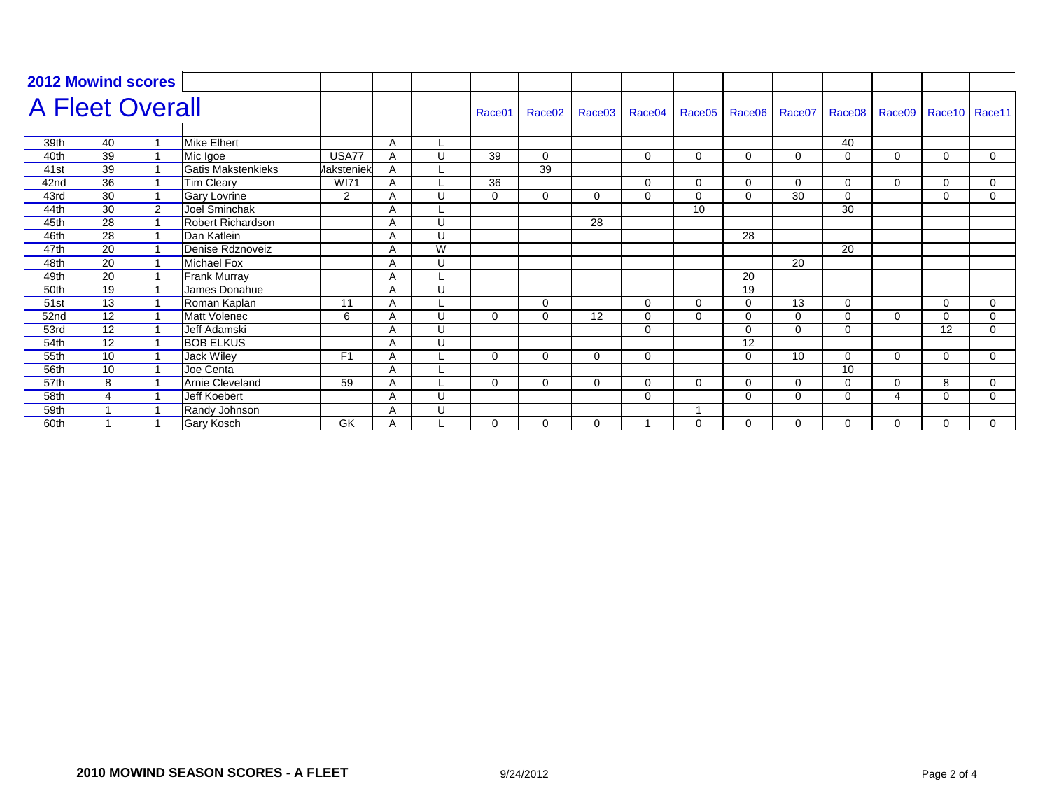| <b>2012 Mowind scores</b> |                 |   |                           |                   |   |   |                    |                    |          |          |          |          |             |             |                             |          |   |
|---------------------------|-----------------|---|---------------------------|-------------------|---|---|--------------------|--------------------|----------|----------|----------|----------|-------------|-------------|-----------------------------|----------|---|
| <b>A Fleet Overall</b>    |                 |   |                           |                   |   |   | Race <sub>01</sub> | Race <sub>02</sub> | Race03   | Race04   | Race05   | Race06   | Race07      |             | Race08 Race09 Race10 Race11 |          |   |
|                           |                 |   |                           |                   |   |   |                    |                    |          |          |          |          |             |             |                             |          |   |
| 39th                      | 40              |   | <b>Mike Elhert</b>        |                   | A |   |                    |                    |          |          |          |          |             | 40          |                             |          |   |
| 40th                      | 39              |   | Mic Igoe                  | USA77             |   | U | 39                 | $\mathbf 0$        |          | 0        | $\Omega$ | 0        | $\mathbf 0$ | $\mathbf 0$ | 0                           | 0        | 0 |
| 41st                      | 39              |   | <b>Gatis Makstenkieks</b> | <b>Aaksteniek</b> | A |   |                    | 39                 |          |          |          |          |             |             |                             |          |   |
| 42nd                      | 36              |   | <b>Tim Cleary</b>         | <b>WI71</b>       | A |   | 36                 |                    |          | $\Omega$ | $\Omega$ | $\Omega$ | $\Omega$    | $\Omega$    | 0                           | 0        | 0 |
| 43rd                      | 30              |   | <b>Gary Lovrine</b>       | 2                 | A | U | $\Omega$           | $\Omega$           | 0        | $\Omega$ | $\Omega$ | $\Omega$ | 30          | $\Omega$    |                             | $\Omega$ | 0 |
| 44th                      | 30              | 2 | Joel Sminchak             |                   |   |   |                    |                    |          |          | 10       |          |             | 30          |                             |          |   |
| 45th                      | $\overline{28}$ |   | <b>Robert Richardson</b>  |                   |   | U |                    |                    | 28       |          |          |          |             |             |                             |          |   |
| 46th                      | 28              |   | Dan Katlein               |                   | A | U |                    |                    |          |          |          | 28       |             |             |                             |          |   |
| 47th                      | $\overline{20}$ |   | Denise Rdznoveiz          |                   | A | W |                    |                    |          |          |          |          |             | 20          |                             |          |   |
| 48th                      | $\overline{20}$ |   | Michael Fox               |                   |   | U |                    |                    |          |          |          |          | 20          |             |                             |          |   |
| 49th                      | $\overline{20}$ |   | <b>Frank Murray</b>       |                   | A |   |                    |                    |          |          |          | 20       |             |             |                             |          |   |
| 50th                      | 19              |   | James Donahue             |                   | A | U |                    |                    |          |          |          | 19       |             |             |                             |          |   |
| 51st                      | 13              |   | Roman Kaplan              | 11                | A |   |                    | 0                  |          | $\Omega$ | 0        | $\Omega$ | 13          | 0           |                             | 0        | 0 |
| 52nd                      | $\overline{12}$ |   | <b>Matt Volenec</b>       | 6                 |   | U | $\Omega$           | $\Omega$           | 12       | $\Omega$ | $\Omega$ | $\Omega$ | $\mathbf 0$ | $\Omega$    | $\Omega$                    | $\Omega$ | 0 |
| 53rd                      | 12              |   | Jeff Adamski              |                   |   | U |                    |                    |          | 0        |          | $\Omega$ | $\mathbf 0$ | $\mathbf 0$ |                             | 12       | 0 |
| 54th                      | 12              |   | <b>BOB ELKUS</b>          |                   | Α | U |                    |                    |          |          |          | 12       |             |             |                             |          |   |
| 55th                      | 10              |   | <b>Jack Wiley</b>         | F <sub>1</sub>    | A |   | 0                  | 0                  | 0        | 0        |          | 0        | 10          | $\mathbf 0$ | 0                           | 0        | 0 |
| 56th                      | 10              |   | Joe Centa                 |                   | A |   |                    |                    |          |          |          |          |             | 10          |                             |          |   |
| 57th                      | 8               |   | <b>Arnie Cleveland</b>    | 59                |   |   | $\Omega$           | $\Omega$           | $\Omega$ | $\Omega$ | 0        | $\Omega$ | $\Omega$    | $\mathbf 0$ | $\Omega$                    | 8        | 0 |
| 58th                      | 4               |   | Jeff Koebert              |                   | A | U |                    |                    |          | 0        |          | 0        | 0           | 0           | 4                           | $\Omega$ | 0 |
| 59th                      |                 |   | Randy Johnson             |                   | A | U |                    |                    |          |          |          |          |             |             |                             |          |   |
| 60th                      |                 |   | Gary Kosch                | GK                | A |   | $\Omega$           | $\Omega$           | 0        |          | $\Omega$ | $\Omega$ | $\Omega$    | $\Omega$    | 0                           | 0        | 0 |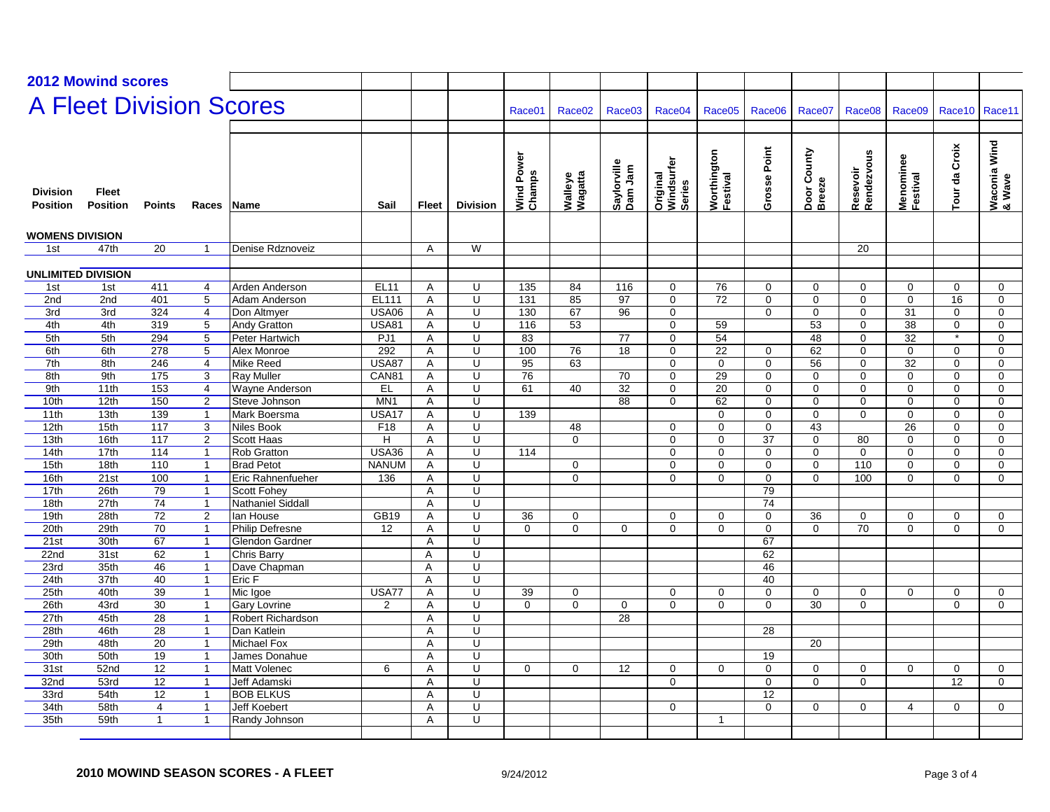|                                    | <b>2012 Mowind scores</b>       |                       |                              |                                 |                         |                |                         |                      |                    |                        |                                  |                         |                    |                                |                        |                       |                  |                         |
|------------------------------------|---------------------------------|-----------------------|------------------------------|---------------------------------|-------------------------|----------------|-------------------------|----------------------|--------------------|------------------------|----------------------------------|-------------------------|--------------------|--------------------------------|------------------------|-----------------------|------------------|-------------------------|
|                                    |                                 |                       |                              |                                 |                         |                |                         |                      |                    |                        |                                  |                         |                    |                                |                        |                       |                  |                         |
|                                    |                                 |                       |                              | <b>A Fleet Division Scores</b>  |                         |                |                         | Race01               | Race <sub>02</sub> | Race <sub>03</sub>     | Race04                           | Race05                  | Race <sub>06</sub> | Race <sub>07</sub>             | Race <sub>08</sub>     | Race09                | Race10           | Race11                  |
|                                    |                                 |                       |                              |                                 |                         |                |                         |                      |                    |                        |                                  |                         |                    |                                |                        |                       |                  |                         |
| <b>Division</b><br><b>Position</b> | <b>Fleet</b><br><b>Position</b> | <b>Points</b>         | Races                        | lName                           | Sail                    | Fleet          | <b>Division</b>         | Wind Power<br>Champs | Walleye<br>Wagatta | Saylorville<br>Dam Jam | Original<br>Windsurfer<br>Series | Worthington<br>Festival | Grosse Point       | Door County<br>Breeze          | Resevoir<br>Rendezvous | Menominee<br>Festival | Croix<br>Tour da | Waconia Wind<br> & Wave |
| <b>WOMENS DIVISION</b>             |                                 |                       |                              |                                 |                         |                |                         |                      |                    |                        |                                  |                         |                    |                                |                        |                       |                  |                         |
| 1st                                | 47th                            | 20                    | $\mathbf 1$                  | Denise Rdznoveiz                |                         | A              | W                       |                      |                    |                        |                                  |                         |                    |                                | 20                     |                       |                  |                         |
|                                    |                                 |                       |                              |                                 |                         |                |                         |                      |                    |                        |                                  |                         |                    |                                |                        |                       |                  |                         |
| <b>UNLIMITED DIVISION</b>          |                                 |                       |                              |                                 |                         |                |                         |                      |                    |                        |                                  |                         |                    |                                |                        |                       |                  |                         |
| 1st                                | 1st                             | 411                   | 4                            | Arden Anderson                  | <b>EL11</b>             | A              | U                       | 135                  | 84                 | 116                    | $\mathbf 0$                      | 76                      | 0                  | 0                              | $\mathbf 0$            | $\mathbf 0$           | 0                | $\mathbf 0$             |
| 2nd                                | 2nd                             | 401                   | 5                            | Adam Anderson                   | <b>EL111</b>            | Α              | Ū                       | 131                  | 85                 | 97                     | 0                                | $\overline{72}$         | 0                  | $\mathbf 0$                    | $\mathbf 0$            | $\mathbf 0$           | 16               | $\mathbf 0$             |
| 3rd                                | 3rd                             | 324                   | $\overline{4}$               | Don Altmyer                     | <b>USA06</b>            | Α              | U                       | 130                  | 67                 | 96                     | $\mathbf 0$                      |                         | $\mathbf 0$        | $\mathbf 0$                    | $\mathbf 0$            | 31                    | $\mathbf 0$      | $\mathbf 0$             |
| 4th                                | 4th                             | 319                   | 5                            | <b>Andy Gratton</b>             | <b>USA81</b>            | A              | $\overline{\mathsf{U}}$ | 116                  | 53                 |                        | $\mathbf 0$                      | 59                      |                    | 53                             | $\Omega$               | $\overline{38}$       | $\mathbf 0$      | $\Omega$                |
| 5th                                | 5th                             | 294                   | 5                            | Peter Hartwich                  | PJ1                     | Α              | U                       | 83                   |                    | 77                     | $\mathbf 0$                      | 54                      |                    | 48                             | $\mathbf 0$            | 32                    | $\star$          | $\Omega$                |
| 6th                                | 6th                             | $\overline{278}$      | 5                            | Alex Monroe                     | 292                     | $\overline{A}$ | U                       | 100                  | 76                 | 18                     | $\mathbf 0$                      | 22                      | $\mathbf 0$        | 62                             | $\mathbf 0$            | $\mathbf 0$           | $\mathbf 0$      | $\mathbf 0$             |
| 7th                                | 8th                             | 246                   | $\overline{4}$               | Mike Reed                       | <b>USA87</b>            | Α              | Ū                       | 95                   | 63                 |                        | $\overline{0}$                   | $\overline{0}$          | $\mathbf 0$        | 56                             | $\mathbf 0$            | $\overline{32}$       | $\mathbf 0$      | $\mathbf 0$             |
| 8th                                | 9th                             | 175                   | 3                            | <b>Ray Muller</b>               | CAN81                   | Α              | U                       | 76                   |                    | 70                     | $\pmb{0}$                        | 29                      | $\mathbf 0$        | $\mathbf 0$                    | 0                      | $\mathbf 0$           | 0                | $\mathbf 0$             |
| 9th                                | 11th                            | 153                   | $\overline{4}$               | Wayne Anderson                  | EL                      | Α              | U                       | 61                   | 40                 | 32                     | $\mathbf 0$                      | 20                      | $\mathbf 0$        | 0                              | $\mathbf 0$            | $\mathbf 0$           | 0                | $\mathbf 0$             |
| 10th                               | 12th                            | 150                   | $\overline{c}$               | Steve Johnson                   | MN <sub>1</sub>         | Α              | $\overline{U}$          |                      |                    | 88                     | 0                                | 62                      | 0                  | $\Omega$                       | $\Omega$               | $\mathbf 0$           | $\Omega$         | $\Omega$                |
| 11th                               | 13 <sub>th</sub>                | 139                   | $\overline{1}$               | Mark Boersma                    | USA17                   | A              | $\overline{\mathsf{U}}$ | 139                  |                    |                        |                                  | $\Omega$                | $\Omega$           | $\Omega$                       | $\Omega$               | $\Omega$              | $\Omega$         | $\Omega$                |
| 12th                               | 15th                            | 117                   | 3                            | Niles Book                      | F <sub>18</sub>         | Α              | Ū                       |                      | 48                 |                        | $\mathbf 0$                      | $\mathbf{0}$            | $\mathbf 0$        | $\overline{43}$                |                        | $\overline{26}$       | $\mathbf 0$      | $\mathbf 0$             |
| 13th                               | 16th                            | $\overline{117}$      | $\overline{2}$               | <b>Scott Haas</b>               | H                       | A              | $\overline{U}$          |                      | $\mathbf 0$        |                        | $\mathsf 0$                      | $\mathbf 0$             | 37                 | $\mathbf 0$                    | 80                     | $\mathbf 0$           | $\mathbf 0$      | $\mathbf 0$             |
| 14th                               | 17th                            | 114                   | $\overline{1}$               | <b>Rob Gratton</b>              | <b>USA36</b>            | Α              | U                       | 114                  |                    |                        | $\mathbf 0$                      | $\mathbf{0}$            | $\mathbf 0$        | $\mathbf 0$                    | $\mathbf 0$            | $\mathbf 0$           | $\mathbf 0$      | $\mathbf{0}$            |
| 15th                               | 18th                            | 110                   | $\overline{1}$               | <b>Brad Petot</b>               | <b>NANUM</b>            | Α              | U                       |                      | $\mathbf 0$        |                        | $\mathbf 0$                      | 0                       | $\mathbf 0$        | $\mathbf 0$                    | 110                    | $\mathbf 0$           | 0                | $\mathbf 0$             |
| 16th                               | 21st                            | 100                   | $\mathbf{1}$                 | Eric Rahnenfueher               | 136                     | A              | $\overline{\mathsf{U}}$ |                      | $\mathbf 0$        |                        | $\mathbf 0$                      | 0                       | 0                  | $\mathbf 0$                    | 100                    | $\mathbf 0$           | $\mathbf 0$      | $\mathbf 0$             |
| 17th                               | 26th                            | 79                    | $\mathbf{1}$                 | <b>Scott Fohey</b>              |                         | Α              | U                       |                      |                    |                        |                                  |                         | 79                 |                                |                        |                       |                  |                         |
| 18th                               | 27th                            | 74                    | $\mathbf{1}$                 | Nathaniel Siddall               |                         | Α              | U                       |                      |                    |                        |                                  |                         | 74                 |                                |                        |                       |                  |                         |
| 19 <sub>th</sub>                   | 28th                            | $\overline{72}$       | 2                            | lan House                       | GB19                    | A              | $\overline{U}$          | 36                   | $\mathbf 0$        |                        | $\mathbf 0$                      | $\mathbf 0$             | $\Omega$           | 36                             | $\mathbf 0$            | $\mathbf 0$           | $\mathbf 0$      | $\mathbf 0$             |
| 20th                               | 29th                            | 70                    | $\mathbf{1}$                 | <b>Philip Defresne</b>          | 12                      | Α              | U                       | $\Omega$             | $\Omega$           | $\Omega$               | $\Omega$                         | $\Omega$                | $\mathbf 0$        | $\Omega$                       | 70                     | $\Omega$              | $\Omega$         | $\Omega$                |
| 21st                               | 30th                            | 67                    | $\overline{1}$               | Glendon Gardner                 |                         | Α              | U                       |                      |                    |                        |                                  |                         | 67                 |                                |                        |                       |                  |                         |
| 22 <sub>nd</sub>                   | 31st                            | 62                    | $\overline{1}$               | Chris Barry                     |                         | Α              | Ū                       |                      |                    |                        |                                  |                         | 62                 |                                |                        |                       |                  |                         |
| 23rd                               | 35th                            | 46                    | $\mathbf{1}$<br>$\mathbf{1}$ | Dave Chapman                    |                         | A              | U<br>U                  |                      |                    |                        |                                  |                         | 46<br>40           |                                |                        |                       |                  |                         |
| 24th<br>25th                       | 37th<br>40th                    | 40<br>$\overline{39}$ | $\mathbf{1}$                 | Eric F                          |                         | A              | U                       | 39                   |                    |                        |                                  |                         |                    |                                |                        |                       |                  |                         |
| 26th                               | 43rd                            | $\overline{30}$       | $\overline{1}$               | Mic Igoe<br><b>Gary Lovrine</b> | USA77<br>$\overline{2}$ | A<br>A         | $\overline{U}$          | $\Omega$             | 0<br>$\Omega$      | 0                      | $\mathbf 0$<br>$\overline{0}$    | 0<br>$\Omega$           | 0<br>$\Omega$      | $\mathbf 0$<br>$\overline{30}$ | 0<br>$\mathbf 0$       | 0                     | 0<br>$\Omega$    | $\mathbf 0$<br>$\Omega$ |
| 27th                               | 45th                            | 28                    | $\overline{1}$               | Robert Richardson               |                         |                | U                       |                      |                    | $\overline{28}$        |                                  |                         |                    |                                |                        |                       |                  |                         |
| 28th                               | 46th                            | 28                    | $\overline{1}$               | Dan Katlein                     |                         | Α<br>Α         | $\overline{\mathsf{U}}$ |                      |                    |                        |                                  |                         | 28                 |                                |                        |                       |                  |                         |
| 29th                               | 48th                            | 20                    | $\overline{1}$               | Michael Fox                     |                         | A              | $\overline{U}$          |                      |                    |                        |                                  |                         |                    | 20                             |                        |                       |                  |                         |
| 30th                               | 50th                            | 19                    | $\mathbf{1}$                 | James Donahue                   |                         | A              | U                       |                      |                    |                        |                                  |                         | 19                 |                                |                        |                       |                  |                         |
| 31st                               | 52nd                            | $\overline{12}$       | $\mathbf{1}$                 | <b>Matt Volenec</b>             | 6                       | Α              | $\overline{U}$          | $\Omega$             | $\mathbf 0$        | 12                     | $\mathbf 0$                      | $\mathbf 0$             | $\mathbf 0$        | $\mathbf 0$                    | $\mathbf 0$            | $\mathbf 0$           | $\mathbf 0$      | $\mathbf 0$             |
| 32 <sub>nd</sub>                   | 53rd                            | $\overline{12}$       | $\mathbf{1}$                 | <b>Jeff Adamski</b>             |                         | Α              | Ū                       |                      |                    |                        | $\mathbf 0$                      |                         | 0                  | $\mathbf 0$                    | $\mathbf 0$            |                       | $\overline{12}$  | $\mathbf 0$             |
| 33rd                               | 54th                            | $\overline{12}$       | $\overline{1}$               | <b>BOB ELKUS</b>                |                         | Α              | U                       |                      |                    |                        |                                  |                         | 12                 |                                |                        |                       |                  |                         |
| 34th                               | 58th                            | 4                     | $\overline{1}$               | Jeff Koebert                    |                         | Α              | U                       |                      |                    |                        | $\mathbf 0$                      |                         | $\mathbf 0$        | $\mathbf 0$                    | $\mathbf 0$            | $\overline{4}$        | $\mathbf 0$      | $\mathbf 0$             |
| 35th                               | 59th                            | $\overline{1}$        | $\overline{1}$               | Randy Johnson                   |                         | A              | $\overline{\mathsf{U}}$ |                      |                    |                        |                                  | 1                       |                    |                                |                        |                       |                  |                         |
|                                    |                                 |                       |                              |                                 |                         |                |                         |                      |                    |                        |                                  |                         |                    |                                |                        |                       |                  |                         |
|                                    |                                 |                       |                              |                                 |                         |                |                         |                      |                    |                        |                                  |                         |                    |                                |                        |                       |                  |                         |